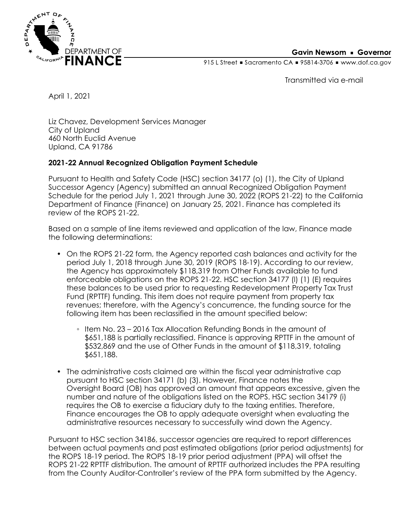

**Gavin Newsom • Governor** 

915 L Street Gacramento CA = 95814-3706 Www.dof.ca.gov

Transmitted via e-mail

April 1, 2021

Liz Chavez, Development Services Manager City of Upland 460 North Euclid Avenue Upland, CA 91786

## **2021-22 Annual Recognized Obligation Payment Schedule**

Pursuant to Health and Safety Code (HSC) section 34177 (o) (1), the City of Upland Successor Agency (Agency) submitted an annual Recognized Obligation Payment Schedule for the period July 1, 2021 through June 30, 2022 (ROPS 21-22) to the California Department of Finance (Finance) on January 25, 2021. Finance has completed its review of the ROPS 21-22.

Based on a sample of line items reviewed and application of the law, Finance made the following determinations:

- On the ROPS 21-22 form, the Agency reported cash balances and activity for the period July 1, 2018 through June 30, 2019 (ROPS 18-19). According to our review, the Agency has approximately \$118,319 from Other Funds available to fund enforceable obligations on the ROPS 21-22. HSC section 34177 (l) (1) (E) requires these balances to be used prior to requesting Redevelopment Property Tax Trust Fund (RPTTF) funding. This item does not require payment from property tax revenues; therefore, with the Agency's concurrence, the funding source for the following item has been reclassified in the amount specified below:
	- Item No. 23 2016 Tax Allocation Refunding Bonds in the amount of \$651,188 is partially reclassified. Finance is approving RPTTF in the amount of \$532,869 and the use of Other Funds in the amount of \$118,319, totaling \$651,188.
- The administrative costs claimed are within the fiscal year administrative cap pursuant to HSC section 34171 (b) (3). However, Finance notes the Oversight Board (OB) has approved an amount that appears excessive, given the number and nature of the obligations listed on the ROPS. HSC section 34179 (i) requires the OB to exercise a fiduciary duty to the taxing entities. Therefore, Finance encourages the OB to apply adequate oversight when evaluating the administrative resources necessary to successfully wind down the Agency.

Pursuant to HSC section 34186, successor agencies are required to report differences between actual payments and past estimated obligations (prior period adjustments) for the ROPS 18-19 period. The ROPS 18-19 prior period adjustment (PPA) will offset the ROPS 21-22 RPTTF distribution. The amount of RPTTF authorized includes the PPA resulting from the County Auditor-Controller's review of the PPA form submitted by the Agency.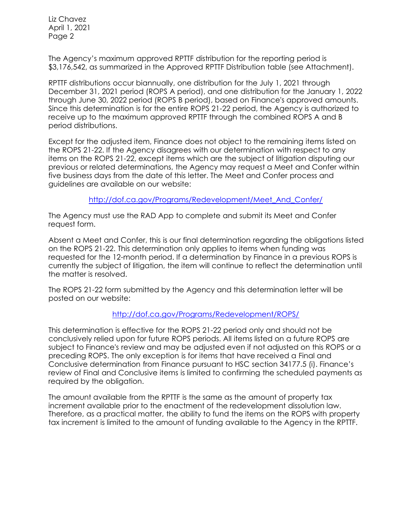Liz Chavez April 1, 2021 Page 2

The Agency's maximum approved RPTTF distribution for the reporting period is \$3,176,542, as summarized in the Approved RPTTF Distribution table (see Attachment).

RPTTF distributions occur biannually, one distribution for the July 1, 2021 through December 31, 2021 period (ROPS A period), and one distribution for the January 1, 2022 through June 30, 2022 period (ROPS B period), based on Finance's approved amounts. Since this determination is for the entire ROPS 21-22 period, the Agency is authorized to receive up to the maximum approved RPTTF through the combined ROPS A and B period distributions.

Except for the adjusted item, Finance does not object to the remaining items listed on the ROPS 21-22. If the Agency disagrees with our determination with respect to any items on the ROPS 21-22, except items which are the subject of litigation disputing our previous or related determinations, the Agency may request a Meet and Confer within five business days from the date of this letter. The Meet and Confer process and guidelines are available on our website:

[http://dof.ca.gov/Programs/Redevelopment/Meet\\_And\\_Confer/](http://dof.ca.gov/Programs/Redevelopment/Meet_And_Confer/) 

The Agency must use the RAD App to complete and submit its Meet and Confer request form.

Absent a Meet and Confer, this is our final determination regarding the obligations listed on the ROPS 21-22. This determination only applies to items when funding was requested for the 12-month period. If a determination by Finance in a previous ROPS is currently the subject of litigation, the item will continue to reflect the determination until the matter is resolved.

The ROPS 21-22 form submitted by the Agency and this determination letter will be posted on our website:

## <http://dof.ca.gov/Programs/Redevelopment/ROPS/>

This determination is effective for the ROPS 21-22 period only and should not be conclusively relied upon for future ROPS periods. All items listed on a future ROPS are subject to Finance's review and may be adjusted even if not adjusted on this ROPS or a preceding ROPS. The only exception is for items that have received a Final and Conclusive determination from Finance pursuant to HSC section 34177.5 (i). Finance's review of Final and Conclusive items is limited to confirming the scheduled payments as required by the obligation.

The amount available from the RPTTF is the same as the amount of property tax increment available prior to the enactment of the redevelopment dissolution law. Therefore, as a practical matter, the ability to fund the items on the ROPS with property tax increment is limited to the amount of funding available to the Agency in the RPTTF.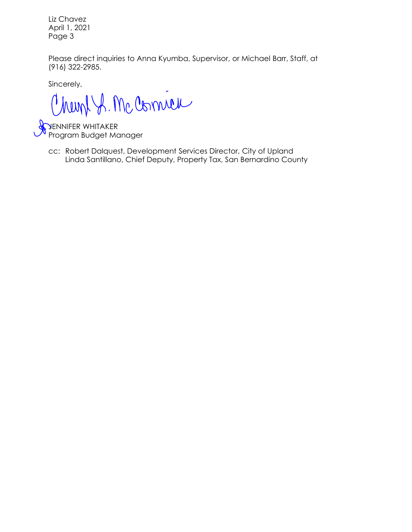Liz Chavez April 1, 2021 Page 3

Please direct inquiries to Anna Kyumba, Supervisor, or Michael Barr, Staff, at (916) 322-2985.

Sincerely,

Chemp S. Mc Come

JENNIFER WHITAKER Program Budget Manager

Linda Santillano, Chief Deputy, Property Tax, San Bernardino County cc: Robert Dalquest, Development Services Director, City of Upland